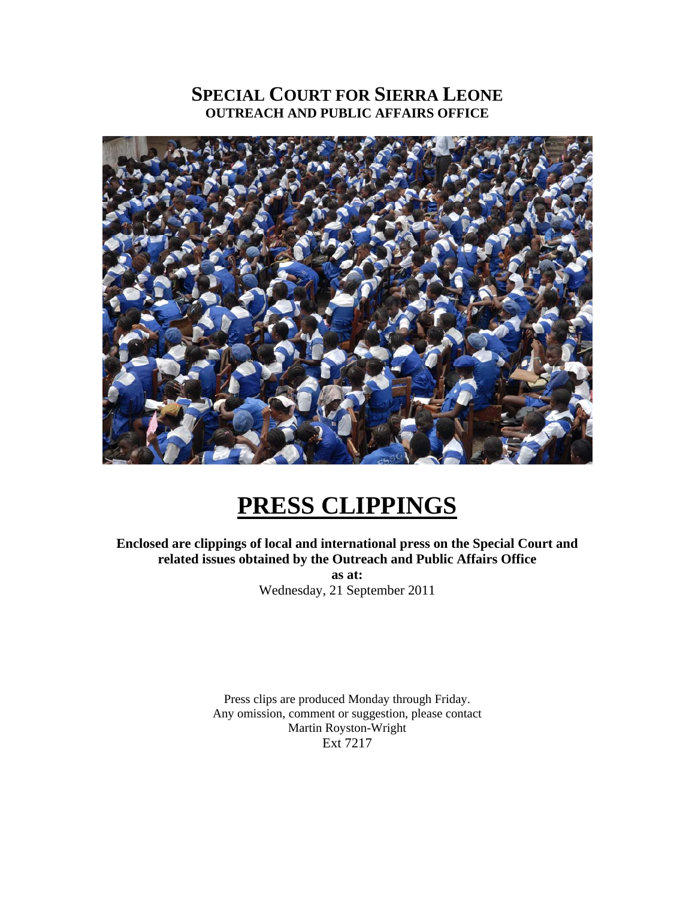### **SPECIAL COURT FOR SIERRA LEONE OUTREACH AND PUBLIC AFFAIRS OFFICE**



# **PRESS CLIPPINGS**

**Enclosed are clippings of local and international press on the Special Court and related issues obtained by the Outreach and Public Affairs Office as at:**  Wednesday, 21 September 2011

> Press clips are produced Monday through Friday. Any omission, comment or suggestion, please contact Martin Royston-Wright Ext 7217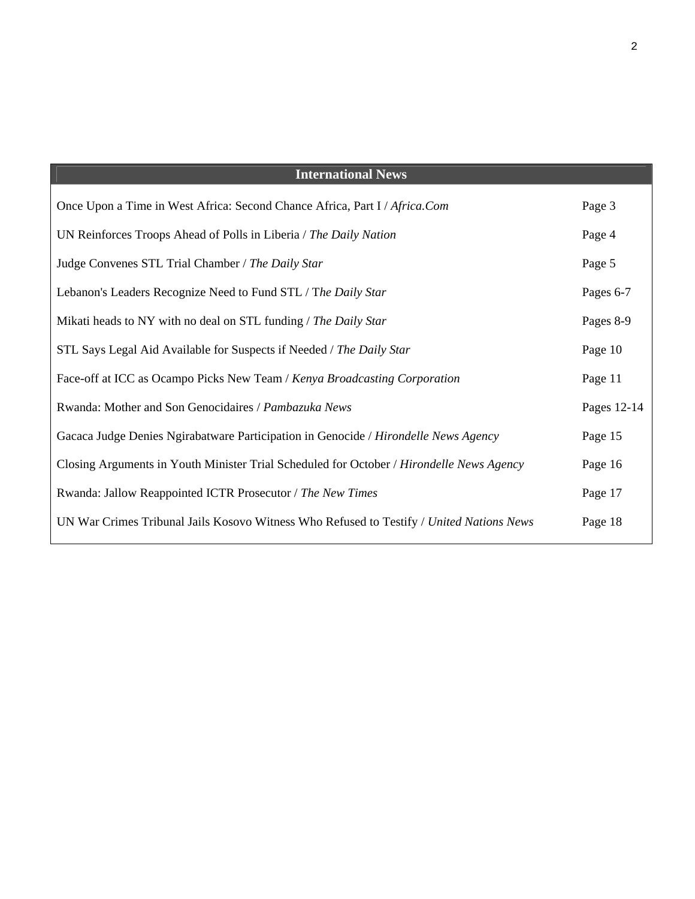| <b>International News</b>                                                                |             |
|------------------------------------------------------------------------------------------|-------------|
| Once Upon a Time in West Africa: Second Chance Africa, Part I / Africa.Com               | Page 3      |
| UN Reinforces Troops Ahead of Polls in Liberia / The Daily Nation                        | Page 4      |
| Judge Convenes STL Trial Chamber / The Daily Star                                        | Page 5      |
| Lebanon's Leaders Recognize Need to Fund STL / The Daily Star                            | Pages 6-7   |
| Mikati heads to NY with no deal on STL funding / The Daily Star                          | Pages 8-9   |
| STL Says Legal Aid Available for Suspects if Needed / The Daily Star                     | Page 10     |
| Face-off at ICC as Ocampo Picks New Team / Kenya Broadcasting Corporation                | Page 11     |
| Rwanda: Mother and Son Genocidaires / Pambazuka News                                     | Pages 12-14 |
| Gacaca Judge Denies Ngirabatware Participation in Genocide / Hirondelle News Agency      | Page 15     |
| Closing Arguments in Youth Minister Trial Scheduled for October / Hirondelle News Agency | Page 16     |
| Rwanda: Jallow Reappointed ICTR Prosecutor / The New Times                               | Page 17     |
| UN War Crimes Tribunal Jails Kosovo Witness Who Refused to Testify / United Nations News | Page 18     |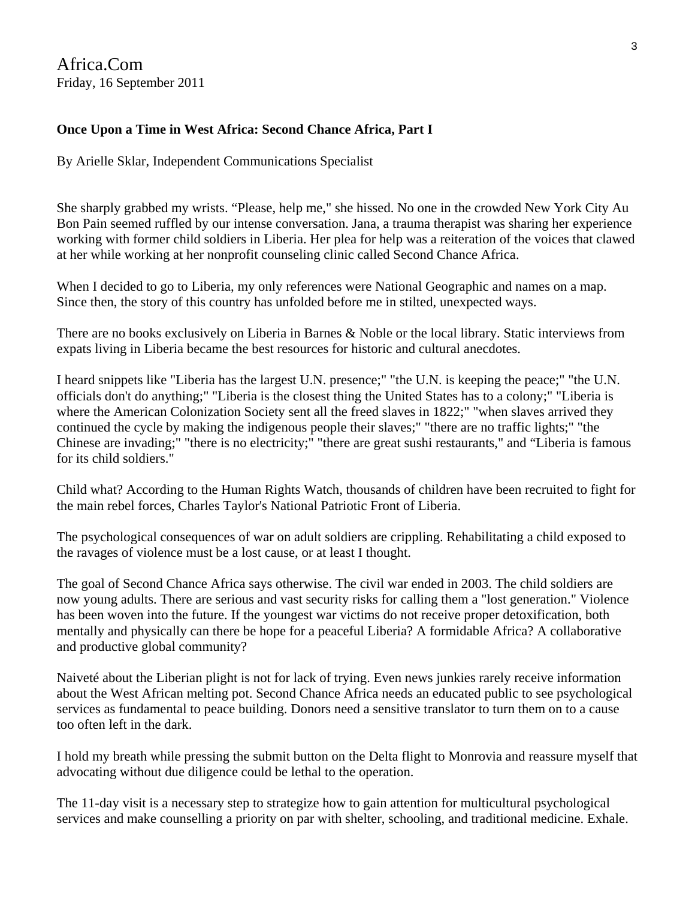Africa.Com Friday, 16 September 2011

### **Once Upon a Time in West Africa: Second Chance Africa, Part I**

By Arielle Sklar, Independent Communications Specialist

She sharply grabbed my wrists. "Please, help me," she hissed. No one in the crowded New York City Au Bon Pain seemed ruffled by our intense conversation. Jana, a trauma therapist was sharing her experience working with former child soldiers in Liberia. Her plea for help was a reiteration of the voices that clawed at her while working at her nonprofit counseling clinic called Second Chance Africa.

When I decided to go to Liberia, my only references were National Geographic and names on a map. Since then, the story of this country has unfolded before me in stilted, unexpected ways.

There are no books exclusively on Liberia in Barnes & Noble or the local library. Static interviews from expats living in Liberia became the best resources for historic and cultural anecdotes.

I heard snippets like "Liberia has the largest U.N. presence;" "the U.N. is keeping the peace;" "the U.N. officials don't do anything;" "Liberia is the closest thing the United States has to a colony;" "Liberia is where the American Colonization Society sent all the freed slaves in 1822;" "when slaves arrived they continued the cycle by making the indigenous people their slaves;" "there are no traffic lights;" "the Chinese are invading;" "there is no electricity;" "there are great sushi restaurants," and "Liberia is famous for its child soldiers."

Child what? According to the Human Rights Watch, thousands of children have been recruited to fight for the main rebel forces, Charles Taylor's National Patriotic Front of Liberia.

The psychological consequences of war on adult soldiers are crippling. Rehabilitating a child exposed to the ravages of violence must be a lost cause, or at least I thought.

The goal of Second Chance Africa says otherwise. The civil war ended in 2003. The child soldiers are now young adults. There are serious and vast security risks for calling them a "lost generation." Violence has been woven into the future. If the youngest war victims do not receive proper detoxification, both mentally and physically can there be hope for a peaceful Liberia? A formidable Africa? A collaborative and productive global community?

Naiveté about the Liberian plight is not for lack of trying. Even news junkies rarely receive information about the West African melting pot. Second Chance Africa needs an educated public to see psychological services as fundamental to peace building. Donors need a sensitive translator to turn them on to a cause too often left in the dark.

I hold my breath while pressing the submit button on the Delta flight to Monrovia and reassure myself that advocating without due diligence could be lethal to the operation.

The 11-day visit is a necessary step to strategize how to gain attention for multicultural psychological services and make counselling a priority on par with shelter, schooling, and traditional medicine. Exhale.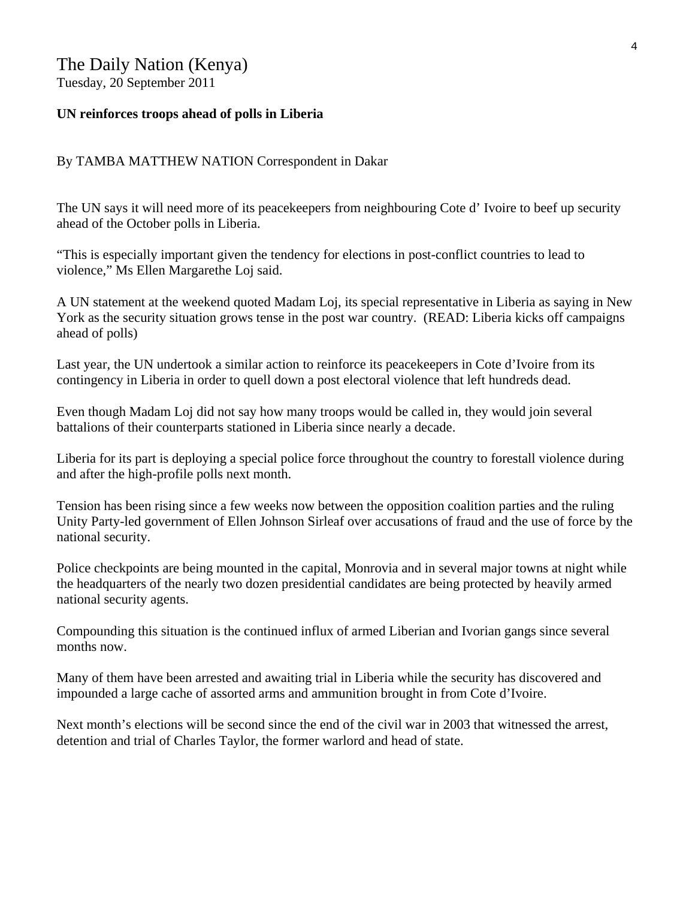#### The Daily Nation (Kenya) Tuesday, 20 September 2011

### **UN reinforces troops ahead of polls in Liberia**

#### By TAMBA MATTHEW NATION Correspondent in Dakar

The UN says it will need more of its peacekeepers from neighbouring Cote d' Ivoire to beef up security ahead of the October polls in Liberia.

"This is especially important given the tendency for elections in post-conflict countries to lead to violence," Ms Ellen Margarethe Loj said.

A UN statement at the weekend quoted Madam Loj, its special representative in Liberia as saying in New York as the security situation grows tense in the post war country. (READ: Liberia kicks off campaigns ahead of polls)

Last year, the UN undertook a similar action to reinforce its peacekeepers in Cote d'Ivoire from its contingency in Liberia in order to quell down a post electoral violence that left hundreds dead.

Even though Madam Loj did not say how many troops would be called in, they would join several battalions of their counterparts stationed in Liberia since nearly a decade.

Liberia for its part is deploying a special police force throughout the country to forestall violence during and after the high-profile polls next month.

Tension has been rising since a few weeks now between the opposition coalition parties and the ruling Unity Party-led government of Ellen Johnson Sirleaf over accusations of fraud and the use of force by the national security.

Police checkpoints are being mounted in the capital, Monrovia and in several major towns at night while the headquarters of the nearly two dozen presidential candidates are being protected by heavily armed national security agents.

Compounding this situation is the continued influx of armed Liberian and Ivorian gangs since several months now.

Many of them have been arrested and awaiting trial in Liberia while the security has discovered and impounded a large cache of assorted arms and ammunition brought in from Cote d'Ivoire.

Next month's elections will be second since the end of the civil war in 2003 that witnessed the arrest, detention and trial of Charles Taylor, the former warlord and head of state.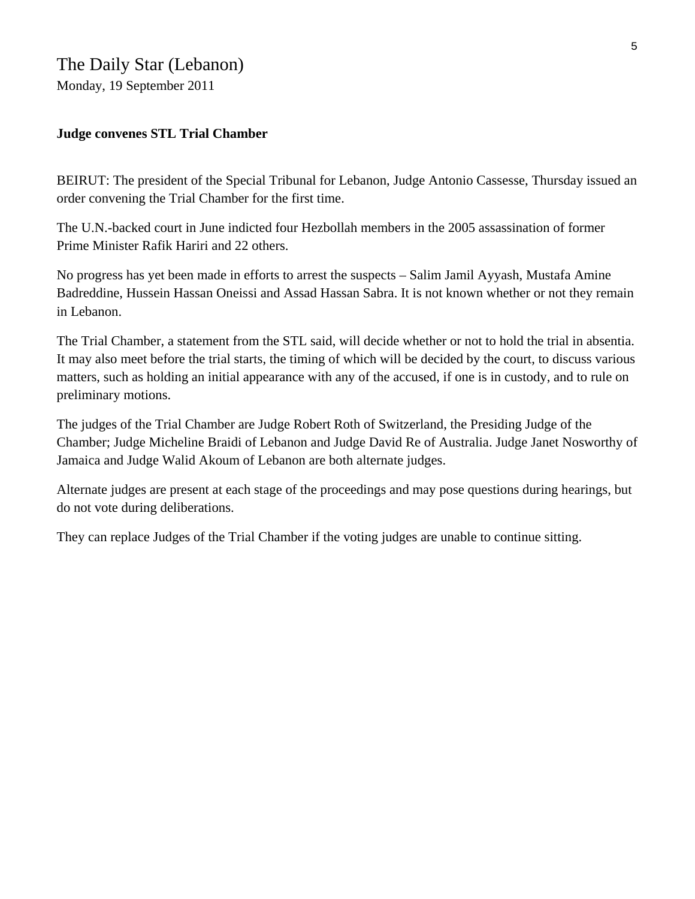### **Judge convenes STL Trial Chamber**

BEIRUT: The president of the Special Tribunal for Lebanon, Judge Antonio Cassesse, Thursday issued an order convening the Trial Chamber for the first time.

The U.N.-backed court in June indicted four Hezbollah members in the 2005 assassination of former Prime Minister Rafik Hariri and 22 others.

No progress has yet been made in efforts to arrest the suspects – Salim Jamil Ayyash, Mustafa Amine Badreddine, Hussein Hassan Oneissi and Assad Hassan Sabra. It is not known whether or not they remain in Lebanon.

The Trial Chamber, a statement from the STL said, will decide whether or not to hold the trial in absentia. It may also meet before the trial starts, the timing of which will be decided by the court, to discuss various matters, such as holding an initial appearance with any of the accused, if one is in custody, and to rule on preliminary motions.

The judges of the Trial Chamber are Judge Robert Roth of Switzerland, the Presiding Judge of the Chamber; Judge Micheline Braidi of Lebanon and Judge David Re of Australia. Judge Janet Nosworthy of Jamaica and Judge Walid Akoum of Lebanon are both alternate judges.

Alternate judges are present at each stage of the proceedings and may pose questions during hearings, but do not vote during deliberations.

They can replace Judges of the Trial Chamber if the voting judges are unable to continue sitting.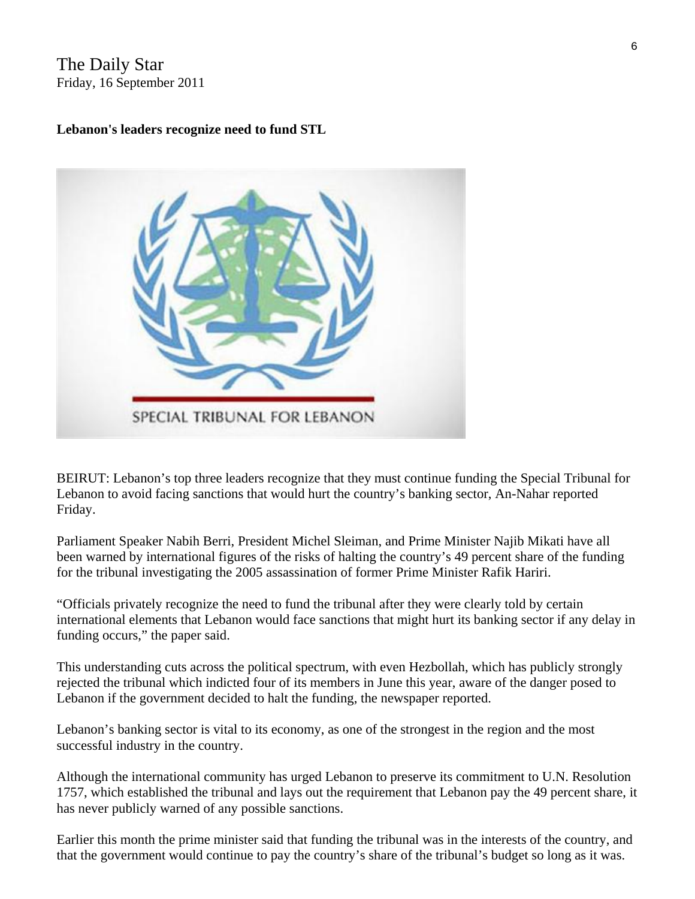The Daily Star Friday, 16 September 2011

### **Lebanon's leaders recognize need to fund STL**



BEIRUT: Lebanon's top three leaders recognize that they must continue funding the Special Tribunal for Lebanon to avoid facing sanctions that would hurt the country's banking sector, An-Nahar reported Friday.

Parliament Speaker Nabih Berri, President Michel Sleiman, and Prime Minister Najib Mikati have all been warned by international figures of the risks of halting the country's 49 percent share of the funding for the tribunal investigating the 2005 assassination of former Prime Minister Rafik Hariri.

"Officials privately recognize the need to fund the tribunal after they were clearly told by certain international elements that Lebanon would face sanctions that might hurt its banking sector if any delay in funding occurs," the paper said.

This understanding cuts across the political spectrum, with even Hezbollah, which has publicly strongly rejected the tribunal which indicted four of its members in June this year, aware of the danger posed to Lebanon if the government decided to halt the funding, the newspaper reported.

Lebanon's banking sector is vital to its economy, as one of the strongest in the region and the most successful industry in the country.

Although the international community has urged Lebanon to preserve its commitment to U.N. Resolution 1757, which established the tribunal and lays out the requirement that Lebanon pay the 49 percent share, it has never publicly warned of any possible sanctions.

Earlier this month the prime minister said that funding the tribunal was in the interests of the country, and that the government would continue to pay the country's share of the tribunal's budget so long as it was.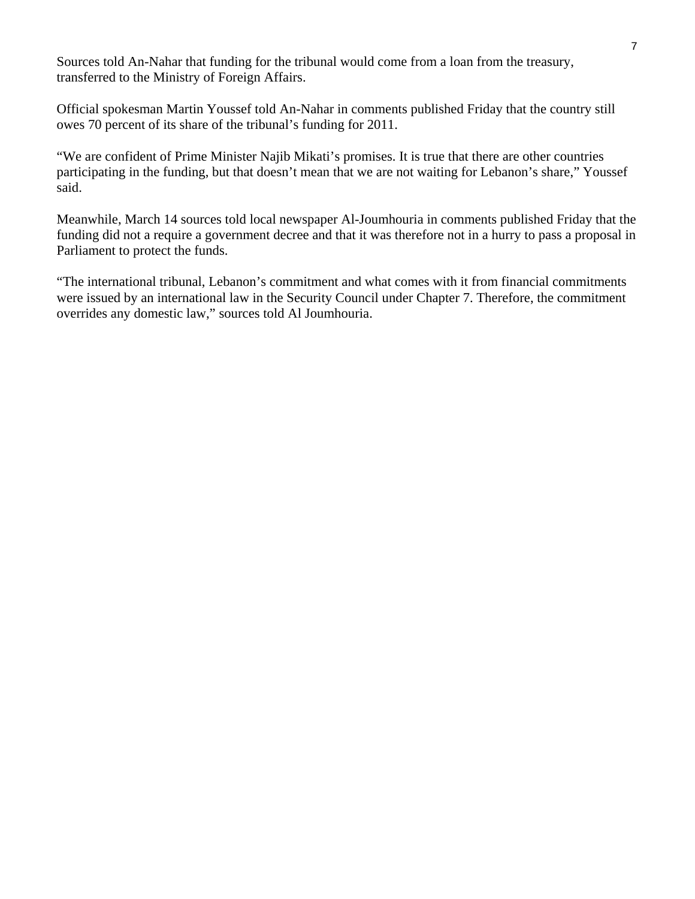Sources told An-Nahar that funding for the tribunal would come from a loan from the treasury, transferred to the Ministry of Foreign Affairs.

Official spokesman Martin Youssef told An-Nahar in comments published Friday that the country still owes 70 percent of its share of the tribunal's funding for 2011.

"We are confident of Prime Minister Najib Mikati's promises. It is true that there are other countries participating in the funding, but that doesn't mean that we are not waiting for Lebanon's share," Youssef said.

Meanwhile, March 14 sources told local newspaper Al-Joumhouria in comments published Friday that the funding did not a require a government decree and that it was therefore not in a hurry to pass a proposal in Parliament to protect the funds.

"The international tribunal, Lebanon's commitment and what comes with it from financial commitments were issued by an international law in the Security Council under Chapter 7. Therefore, the commitment overrides any domestic law," sources told Al Joumhouria.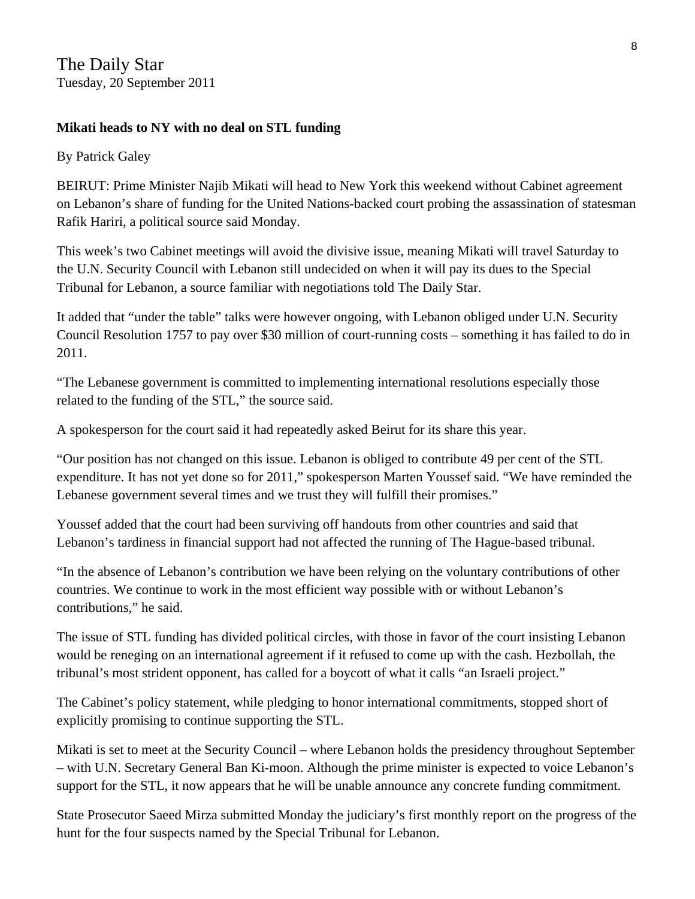### **Mikati heads to NY with no deal on STL funding**

By Patrick Galey

BEIRUT: Prime Minister Najib Mikati will head to New York this weekend without Cabinet agreement on Lebanon's share of funding for the United Nations-backed court probing the assassination of statesman Rafik Hariri, a political source said Monday.

This week's two Cabinet meetings will avoid the divisive issue, meaning Mikati will travel Saturday to the U.N. Security Council with Lebanon still undecided on when it will pay its dues to the Special Tribunal for Lebanon, a source familiar with negotiations told The Daily Star.

It added that "under the table" talks were however ongoing, with Lebanon obliged under U.N. Security Council Resolution 1757 to pay over \$30 million of court-running costs – something it has failed to do in 2011.

"The Lebanese government is committed to implementing international resolutions especially those related to the funding of the STL," the source said.

A spokesperson for the court said it had repeatedly asked Beirut for its share this year.

"Our position has not changed on this issue. Lebanon is obliged to contribute 49 per cent of the STL expenditure. It has not yet done so for 2011," spokesperson Marten Youssef said. "We have reminded the Lebanese government several times and we trust they will fulfill their promises."

Youssef added that the court had been surviving off handouts from other countries and said that Lebanon's tardiness in financial support had not affected the running of The Hague-based tribunal.

"In the absence of Lebanon's contribution we have been relying on the voluntary contributions of other countries. We continue to work in the most efficient way possible with or without Lebanon's contributions," he said.

The issue of STL funding has divided political circles, with those in favor of the court insisting Lebanon would be reneging on an international agreement if it refused to come up with the cash. Hezbollah, the tribunal's most strident opponent, has called for a boycott of what it calls "an Israeli project."

The Cabinet's policy statement, while pledging to honor international commitments, stopped short of explicitly promising to continue supporting the STL.

Mikati is set to meet at the Security Council – where Lebanon holds the presidency throughout September – with U.N. Secretary General Ban Ki-moon. Although the prime minister is expected to voice Lebanon's support for the STL, it now appears that he will be unable announce any concrete funding commitment.

State Prosecutor Saeed Mirza submitted Monday the judiciary's first monthly report on the progress of the hunt for the four suspects named by the Special Tribunal for Lebanon.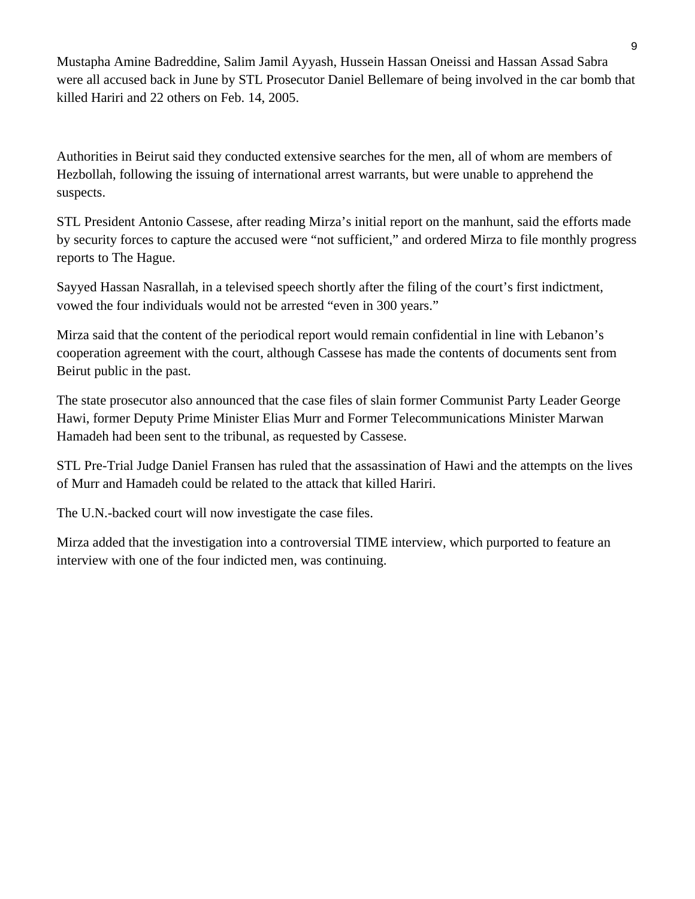Mustapha Amine Badreddine, Salim Jamil Ayyash, Hussein Hassan Oneissi and Hassan Assad Sabra were all accused back in June by STL Prosecutor Daniel Bellemare of being involved in the car bomb that killed Hariri and 22 others on Feb. 14, 2005.

Authorities in Beirut said they conducted extensive searches for the men, all of whom are members of Hezbollah, following the issuing of international arrest warrants, but were unable to apprehend the suspects.

STL President Antonio Cassese, after reading Mirza's initial report on the manhunt, said the efforts made by security forces to capture the accused were "not sufficient," and ordered Mirza to file monthly progress reports to The Hague.

Sayyed Hassan Nasrallah, in a televised speech shortly after the filing of the court's first indictment, vowed the four individuals would not be arrested "even in 300 years."

Mirza said that the content of the periodical report would remain confidential in line with Lebanon's cooperation agreement with the court, although Cassese has made the contents of documents sent from Beirut public in the past.

The state prosecutor also announced that the case files of slain former Communist Party Leader George Hawi, former Deputy Prime Minister Elias Murr and Former Telecommunications Minister Marwan Hamadeh had been sent to the tribunal, as requested by Cassese.

STL Pre-Trial Judge Daniel Fransen has ruled that the assassination of Hawi and the attempts on the lives of Murr and Hamadeh could be related to the attack that killed Hariri.

The U.N.-backed court will now investigate the case files.

Mirza added that the investigation into a controversial TIME interview, which purported to feature an interview with one of the four indicted men, was continuing.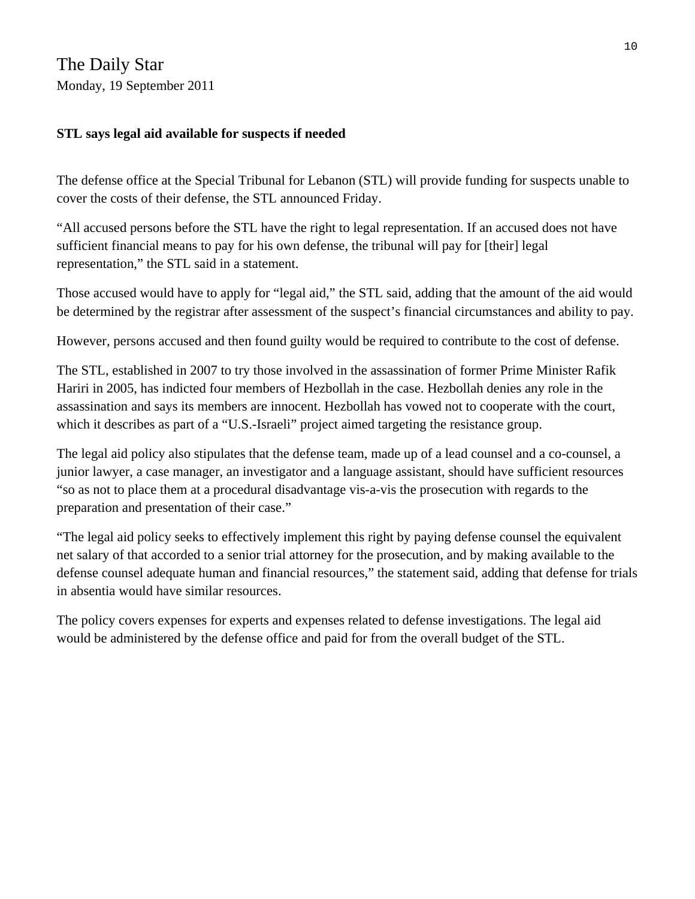The Daily Star Monday, 19 September 2011

### **STL says legal aid available for suspects if needed**

The defense office at the Special Tribunal for Lebanon (STL) will provide funding for suspects unable to cover the costs of their defense, the STL announced Friday.

"All accused persons before the STL have the right to legal representation. If an accused does not have sufficient financial means to pay for his own defense, the tribunal will pay for [their] legal representation," the STL said in a statement.

Those accused would have to apply for "legal aid," the STL said, adding that the amount of the aid would be determined by the registrar after assessment of the suspect's financial circumstances and ability to pay.

However, persons accused and then found guilty would be required to contribute to the cost of defense.

The STL, established in 2007 to try those involved in the assassination of former Prime Minister Rafik Hariri in 2005, has indicted four members of Hezbollah in the case. Hezbollah denies any role in the assassination and says its members are innocent. Hezbollah has vowed not to cooperate with the court, which it describes as part of a "U.S.-Israeli" project aimed targeting the resistance group.

The legal aid policy also stipulates that the defense team, made up of a lead counsel and a co-counsel, a junior lawyer, a case manager, an investigator and a language assistant, should have sufficient resources "so as not to place them at a procedural disadvantage vis-a-vis the prosecution with regards to the preparation and presentation of their case."

"The legal aid policy seeks to effectively implement this right by paying defense counsel the equivalent net salary of that accorded to a senior trial attorney for the prosecution, and by making available to the defense counsel adequate human and financial resources," the statement said, adding that defense for trials in absentia would have similar resources.

The policy covers expenses for experts and expenses related to defense investigations. The legal aid would be administered by the defense office and paid for from the overall budget of the STL.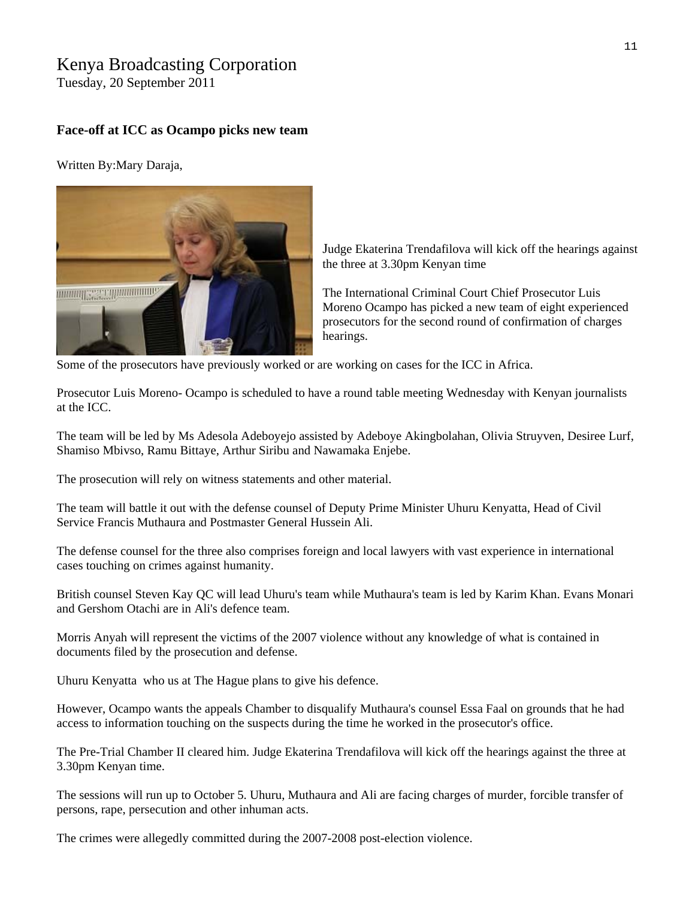### Kenya Broadcasting Corporation

Tuesday, 20 September 2011

#### **Face-off at ICC as Ocampo picks new team**

Written By:Mary Daraja,



Judge Ekaterina Trendafilova will kick off the hearings against the three at 3.30pm Kenyan time

The International Criminal Court Chief Prosecutor Luis Moreno Ocampo has picked a new team of eight experienced prosecutors for the second round of confirmation of charges hearings.

Some of the prosecutors have previously worked or are working on cases for the ICC in Africa.

Prosecutor Luis Moreno- Ocampo is scheduled to have a round table meeting Wednesday with Kenyan journalists at the ICC.

The team will be led by Ms Adesola Adeboyejo assisted by Adeboye Akingbolahan, Olivia Struyven, Desiree Lurf, Shamiso Mbivso, Ramu Bittaye, Arthur Siribu and Nawamaka Enjebe.

The prosecution will rely on witness statements and other material.

The team will battle it out with the defense counsel of Deputy Prime Minister Uhuru Kenyatta, Head of Civil Service Francis Muthaura and Postmaster General Hussein Ali.

The defense counsel for the three also comprises foreign and local lawyers with vast experience in international cases touching on crimes against humanity.

British counsel Steven Kay QC will lead Uhuru's team while Muthaura's team is led by Karim Khan. Evans Monari and Gershom Otachi are in Ali's defence team.

Morris Anyah will represent the victims of the 2007 violence without any knowledge of what is contained in documents filed by the prosecution and defense.

Uhuru Kenyatta who us at The Hague plans to give his defence.

However, Ocampo wants the appeals Chamber to disqualify Muthaura's counsel Essa Faal on grounds that he had access to information touching on the suspects during the time he worked in the prosecutor's office.

The Pre-Trial Chamber II cleared him. Judge Ekaterina Trendafilova will kick off the hearings against the three at 3.30pm Kenyan time.

The sessions will run up to October 5. Uhuru, Muthaura and Ali are facing charges of murder, forcible transfer of persons, rape, persecution and other inhuman acts.

The crimes were allegedly committed during the 2007-2008 post-election violence.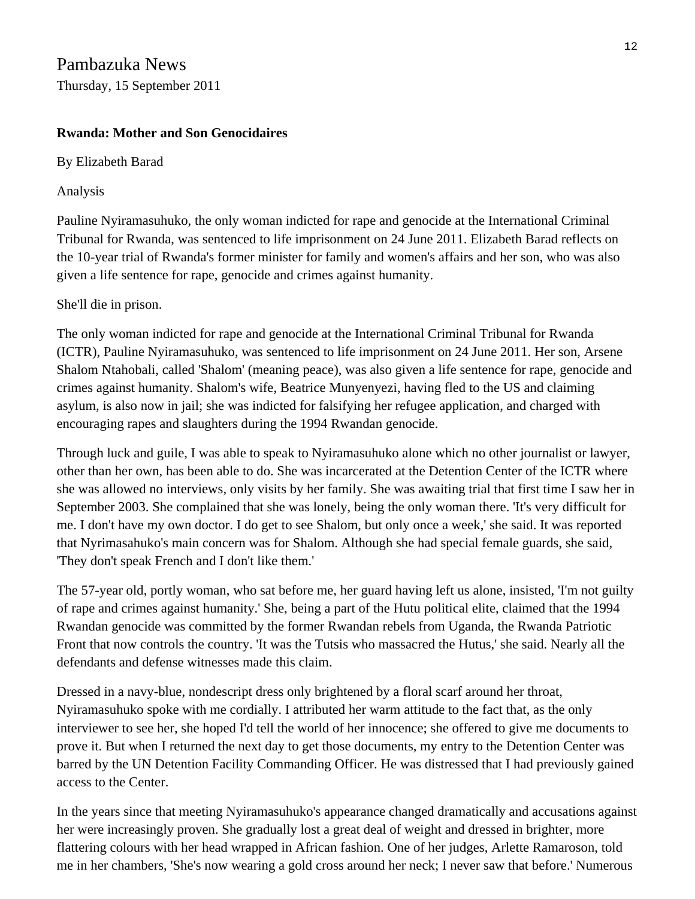### Pambazuka News Thursday, 15 September 2011

### **Rwanda: Mother and Son Genocidaires**

By Elizabeth Barad

Analysis

Pauline Nyiramasuhuko, the only woman indicted for rape and genocide at the International Criminal Tribunal for Rwanda, was sentenced to life imprisonment on 24 June 2011. Elizabeth Barad reflects on the 10-year trial of Rwanda's former minister for family and women's affairs and her son, who was also given a life sentence for rape, genocide and crimes against humanity.

She'll die in prison.

The only woman indicted for rape and genocide at the International Criminal Tribunal for Rwanda (ICTR), Pauline Nyiramasuhuko, was sentenced to life imprisonment on 24 June 2011. Her son, Arsene Shalom Ntahobali, called 'Shalom' (meaning peace), was also given a life sentence for rape, genocide and crimes against humanity. Shalom's wife, Beatrice Munyenyezi, having fled to the US and claiming asylum, is also now in jail; she was indicted for falsifying her refugee application, and charged with encouraging rapes and slaughters during the 1994 Rwandan genocide.

Through luck and guile, I was able to speak to Nyiramasuhuko alone which no other journalist or lawyer, other than her own, has been able to do. She was incarcerated at the Detention Center of the ICTR where she was allowed no interviews, only visits by her family. She was awaiting trial that first time I saw her in September 2003. She complained that she was lonely, being the only woman there. 'It's very difficult for me. I don't have my own doctor. I do get to see Shalom, but only once a week,' she said. It was reported that Nyrimasahuko's main concern was for Shalom. Although she had special female guards, she said, 'They don't speak French and I don't like them.'

The 57-year old, portly woman, who sat before me, her guard having left us alone, insisted, 'I'm not guilty of rape and crimes against humanity.' She, being a part of the Hutu political elite, claimed that the 1994 Rwandan genocide was committed by the former Rwandan rebels from Uganda, the Rwanda Patriotic Front that now controls the country. 'It was the Tutsis who massacred the Hutus,' she said. Nearly all the defendants and defense witnesses made this claim.

Dressed in a navy-blue, nondescript dress only brightened by a floral scarf around her throat, Nyiramasuhuko spoke with me cordially. I attributed her warm attitude to the fact that, as the only interviewer to see her, she hoped I'd tell the world of her innocence; she offered to give me documents to prove it. But when I returned the next day to get those documents, my entry to the Detention Center was barred by the UN Detention Facility Commanding Officer. He was distressed that I had previously gained access to the Center.

In the years since that meeting Nyiramasuhuko's appearance changed dramatically and accusations against her were increasingly proven. She gradually lost a great deal of weight and dressed in brighter, more flattering colours with her head wrapped in African fashion. One of her judges, Arlette Ramaroson, told me in her chambers, 'She's now wearing a gold cross around her neck; I never saw that before.' Numerous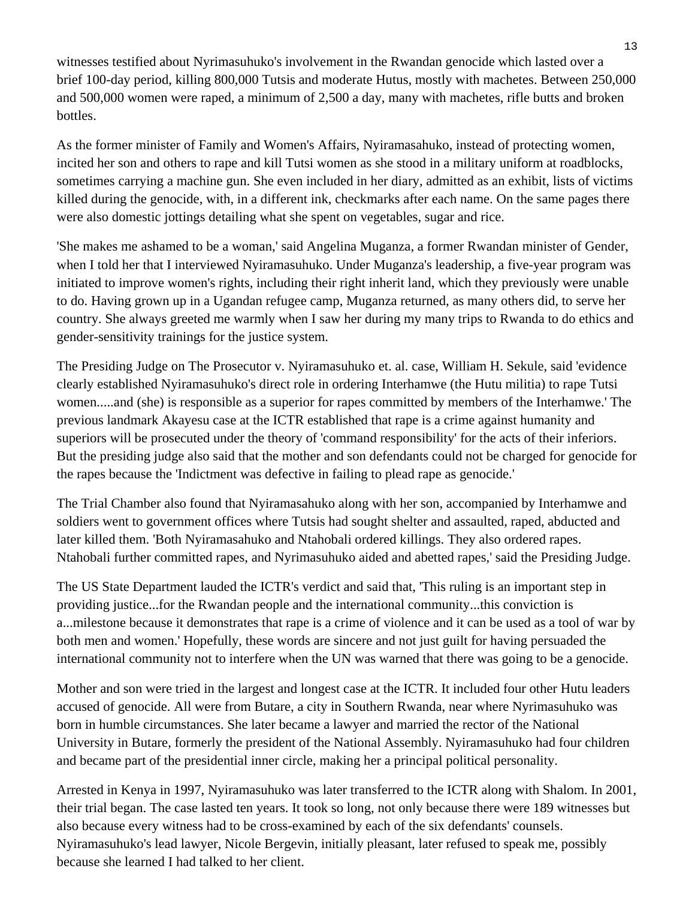witnesses testified about Nyrimasuhuko's involvement in the Rwandan genocide which lasted over a brief 100-day period, killing 800,000 Tutsis and moderate Hutus, mostly with machetes. Between 250,000 and 500,000 women were raped, a minimum of 2,500 a day, many with machetes, rifle butts and broken bottles.

As the former minister of Family and Women's Affairs, Nyiramasahuko, instead of protecting women, incited her son and others to rape and kill Tutsi women as she stood in a military uniform at roadblocks, sometimes carrying a machine gun. She even included in her diary, admitted as an exhibit, lists of victims killed during the genocide, with, in a different ink, checkmarks after each name. On the same pages there were also domestic jottings detailing what she spent on vegetables, sugar and rice.

'She makes me ashamed to be a woman,' said Angelina Muganza, a former Rwandan minister of Gender, when I told her that I interviewed Nyiramasuhuko. Under Muganza's leadership, a five-year program was initiated to improve women's rights, including their right inherit land, which they previously were unable to do. Having grown up in a Ugandan refugee camp, Muganza returned, as many others did, to serve her country. She always greeted me warmly when I saw her during my many trips to Rwanda to do ethics and gender-sensitivity trainings for the justice system.

The Presiding Judge on The Prosecutor v. Nyiramasuhuko et. al. case, William H. Sekule, said 'evidence clearly established Nyiramasuhuko's direct role in ordering Interhamwe (the Hutu militia) to rape Tutsi women.....and (she) is responsible as a superior for rapes committed by members of the Interhamwe.' The previous landmark Akayesu case at the ICTR established that rape is a crime against humanity and superiors will be prosecuted under the theory of 'command responsibility' for the acts of their inferiors. But the presiding judge also said that the mother and son defendants could not be charged for genocide for the rapes because the 'Indictment was defective in failing to plead rape as genocide.'

The Trial Chamber also found that Nyiramasahuko along with her son, accompanied by Interhamwe and soldiers went to government offices where Tutsis had sought shelter and assaulted, raped, abducted and later killed them. 'Both Nyiramasahuko and Ntahobali ordered killings. They also ordered rapes. Ntahobali further committed rapes, and Nyrimasuhuko aided and abetted rapes,' said the Presiding Judge.

The US State Department lauded the ICTR's verdict and said that, 'This ruling is an important step in providing justice...for the Rwandan people and the international community...this conviction is a...milestone because it demonstrates that rape is a crime of violence and it can be used as a tool of war by both men and women.' Hopefully, these words are sincere and not just guilt for having persuaded the international community not to interfere when the UN was warned that there was going to be a genocide.

Mother and son were tried in the largest and longest case at the ICTR. It included four other Hutu leaders accused of genocide. All were from Butare, a city in Southern Rwanda, near where Nyrimasuhuko was born in humble circumstances. She later became a lawyer and married the rector of the National University in Butare, formerly the president of the National Assembly. Nyiramasuhuko had four children and became part of the presidential inner circle, making her a principal political personality.

Arrested in Kenya in 1997, Nyiramasuhuko was later transferred to the ICTR along with Shalom. In 2001, their trial began. The case lasted ten years. It took so long, not only because there were 189 witnesses but also because every witness had to be cross-examined by each of the six defendants' counsels. Nyiramasuhuko's lead lawyer, Nicole Bergevin, initially pleasant, later refused to speak me, possibly because she learned I had talked to her client.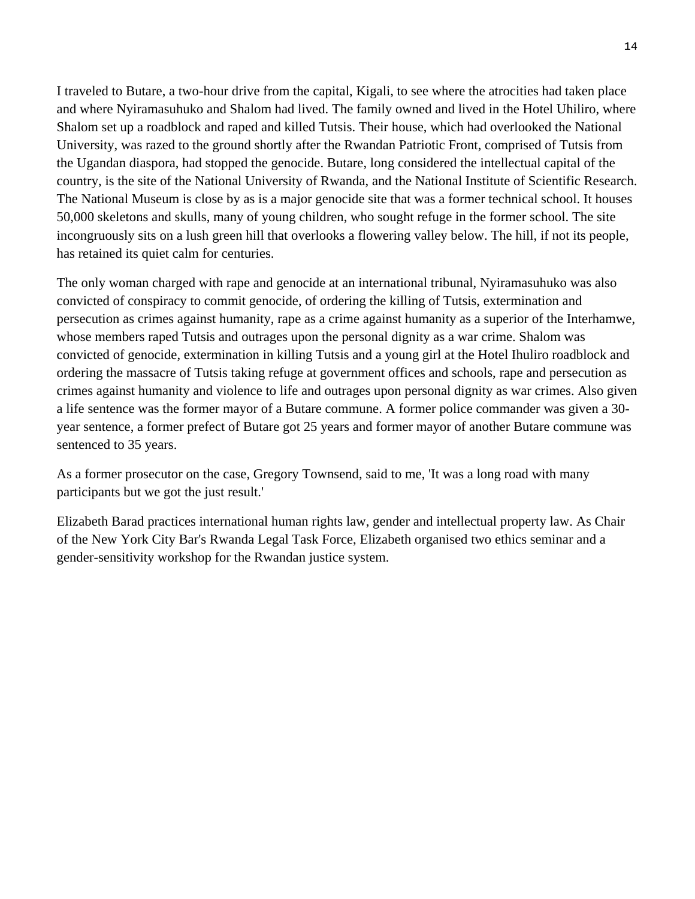I traveled to Butare, a two-hour drive from the capital, Kigali, to see where the atrocities had taken place and where Nyiramasuhuko and Shalom had lived. The family owned and lived in the Hotel Uhiliro, where Shalom set up a roadblock and raped and killed Tutsis. Their house, which had overlooked the National University, was razed to the ground shortly after the Rwandan Patriotic Front, comprised of Tutsis from the Ugandan diaspora, had stopped the genocide. Butare, long considered the intellectual capital of the country, is the site of the National University of Rwanda, and the National Institute of Scientific Research. The National Museum is close by as is a major genocide site that was a former technical school. It houses 50,000 skeletons and skulls, many of young children, who sought refuge in the former school. The site incongruously sits on a lush green hill that overlooks a flowering valley below. The hill, if not its people, has retained its quiet calm for centuries.

The only woman charged with rape and genocide at an international tribunal, Nyiramasuhuko was also convicted of conspiracy to commit genocide, of ordering the killing of Tutsis, extermination and persecution as crimes against humanity, rape as a crime against humanity as a superior of the Interhamwe, whose members raped Tutsis and outrages upon the personal dignity as a war crime. Shalom was convicted of genocide, extermination in killing Tutsis and a young girl at the Hotel Ihuliro roadblock and ordering the massacre of Tutsis taking refuge at government offices and schools, rape and persecution as crimes against humanity and violence to life and outrages upon personal dignity as war crimes. Also given a life sentence was the former mayor of a Butare commune. A former police commander was given a 30 year sentence, a former prefect of Butare got 25 years and former mayor of another Butare commune was sentenced to 35 years.

As a former prosecutor on the case, Gregory Townsend, said to me, 'It was a long road with many participants but we got the just result.'

Elizabeth Barad practices international human rights law, gender and intellectual property law. As Chair of the New York City Bar's Rwanda Legal Task Force, Elizabeth organised two ethics seminar and a gender-sensitivity workshop for the Rwandan justice system.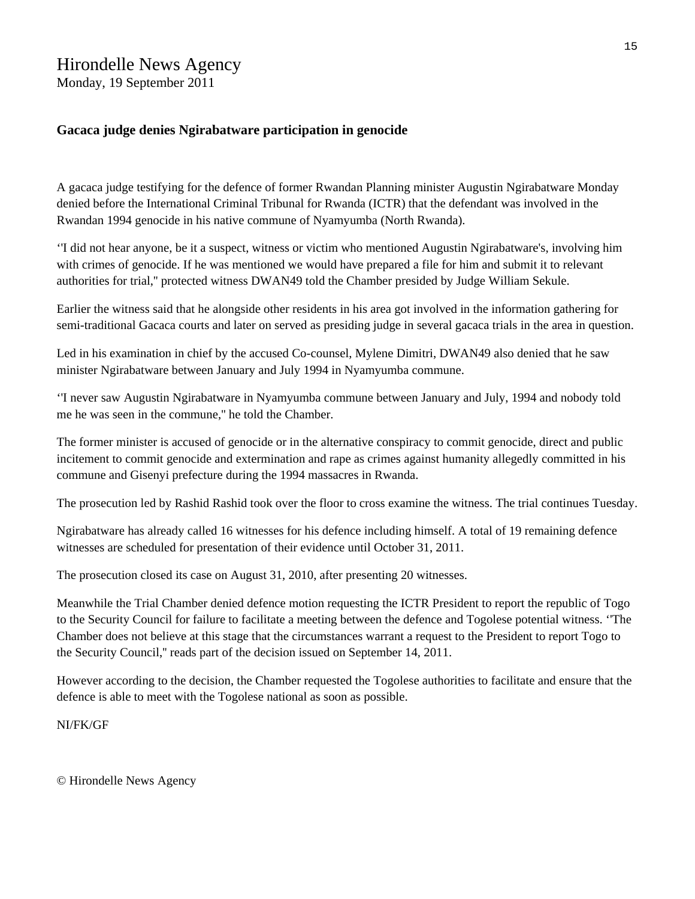## Hirondelle News Agency

Monday, 19 September 2011

#### **Gacaca judge denies Ngirabatware participation in genocide**

A gacaca judge testifying for the defence of former Rwandan Planning minister Augustin Ngirabatware Monday denied before the International Criminal Tribunal for Rwanda (ICTR) that the defendant was involved in the Rwandan 1994 genocide in his native commune of Nyamyumba (North Rwanda).

''I did not hear anyone, be it a suspect, witness or victim who mentioned Augustin Ngirabatware's, involving him with crimes of genocide. If he was mentioned we would have prepared a file for him and submit it to relevant authorities for trial,'' protected witness DWAN49 told the Chamber presided by Judge William Sekule.

Earlier the witness said that he alongside other residents in his area got involved in the information gathering for semi-traditional Gacaca courts and later on served as presiding judge in several gacaca trials in the area in question.

Led in his examination in chief by the accused Co-counsel, Mylene Dimitri, DWAN49 also denied that he saw minister Ngirabatware between January and July 1994 in Nyamyumba commune.

''I never saw Augustin Ngirabatware in Nyamyumba commune between January and July, 1994 and nobody told me he was seen in the commune,'' he told the Chamber.

The former minister is accused of genocide or in the alternative conspiracy to commit genocide, direct and public incitement to commit genocide and extermination and rape as crimes against humanity allegedly committed in his commune and Gisenyi prefecture during the 1994 massacres in Rwanda.

The prosecution led by Rashid Rashid took over the floor to cross examine the witness. The trial continues Tuesday.

Ngirabatware has already called 16 witnesses for his defence including himself. A total of 19 remaining defence witnesses are scheduled for presentation of their evidence until October 31, 2011.

The prosecution closed its case on August 31, 2010, after presenting 20 witnesses.

Meanwhile the Trial Chamber denied defence motion requesting the ICTR President to report the republic of Togo to the Security Council for failure to facilitate a meeting between the defence and Togolese potential witness. ''The Chamber does not believe at this stage that the circumstances warrant a request to the President to report Togo to the Security Council,'' reads part of the decision issued on September 14, 2011.

However according to the decision, the Chamber requested the Togolese authorities to facilitate and ensure that the defence is able to meet with the Togolese national as soon as possible.

NI/FK/GF

© Hirondelle News Agency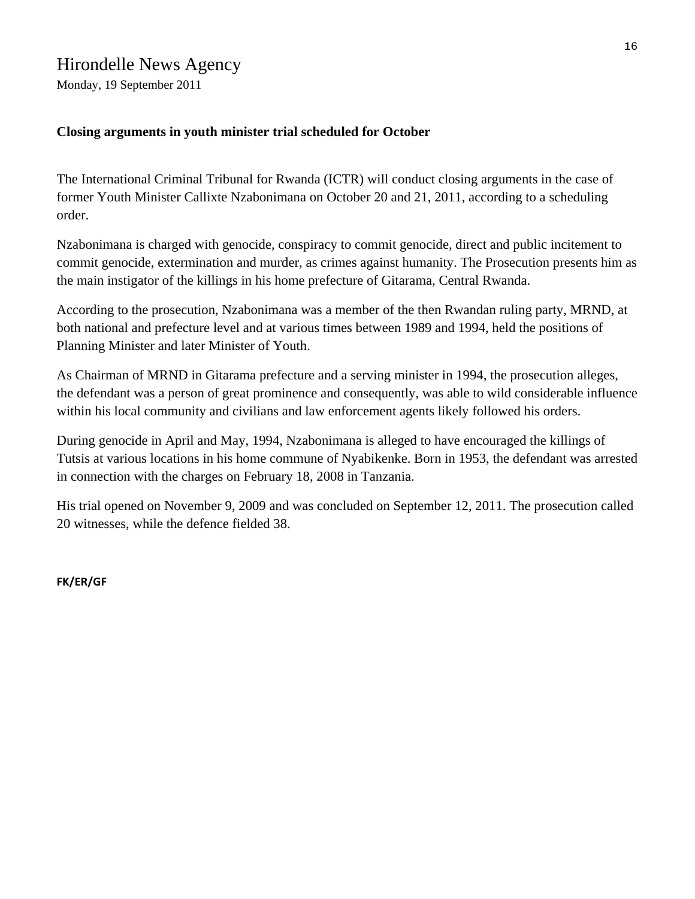### Hirondelle News Agency

Monday, 19 September 2011

### **Closing arguments in youth minister trial scheduled for October**

The International Criminal Tribunal for Rwanda (ICTR) will conduct closing arguments in the case of former Youth Minister Callixte Nzabonimana on October 20 and 21, 2011, according to a scheduling order.

Nzabonimana is charged with genocide, conspiracy to commit genocide, direct and public incitement to commit genocide, extermination and murder, as crimes against humanity. The Prosecution presents him as the main instigator of the killings in his home prefecture of Gitarama, Central Rwanda.

According to the prosecution, Nzabonimana was a member of the then Rwandan ruling party, MRND, at both national and prefecture level and at various times between 1989 and 1994, held the positions of Planning Minister and later Minister of Youth.

As Chairman of MRND in Gitarama prefecture and a serving minister in 1994, the prosecution alleges, the defendant was a person of great prominence and consequently, was able to wild considerable influence within his local community and civilians and law enforcement agents likely followed his orders.

During genocide in April and May, 1994, Nzabonimana is alleged to have encouraged the killings of Tutsis at various locations in his home commune of Nyabikenke. Born in 1953, the defendant was arrested in connection with the charges on February 18, 2008 in Tanzania.

His trial opened on November 9, 2009 and was concluded on September 12, 2011. The prosecution called 20 witnesses, while the defence fielded 38.

**FK/ER/GF**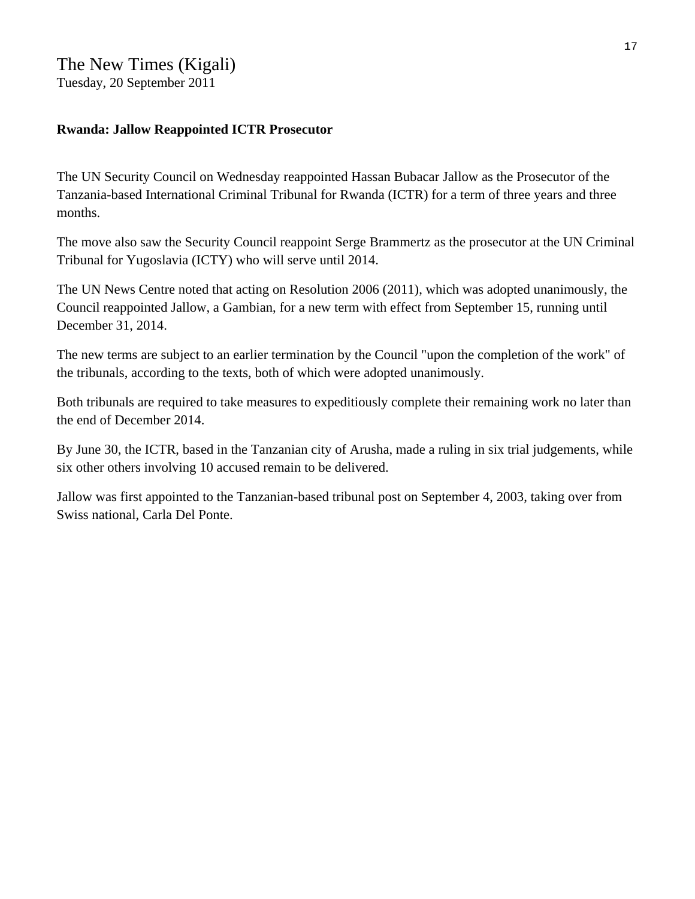### The New Times (Kigali) Tuesday, 20 September 2011

#### **Rwanda: Jallow Reappointed ICTR Prosecutor**

The UN Security Council on Wednesday reappointed Hassan Bubacar Jallow as the Prosecutor of the Tanzania-based International Criminal Tribunal for Rwanda (ICTR) for a term of three years and three months.

The move also saw the Security Council reappoint Serge Brammertz as the prosecutor at the UN Criminal Tribunal for Yugoslavia (ICTY) who will serve until 2014.

The UN News Centre noted that acting on Resolution 2006 (2011), which was adopted unanimously, the Council reappointed Jallow, a Gambian, for a new term with effect from September 15, running until December 31, 2014.

The new terms are subject to an earlier termination by the Council "upon the completion of the work" of the tribunals, according to the texts, both of which were adopted unanimously.

Both tribunals are required to take measures to expeditiously complete their remaining work no later than the end of December 2014.

By June 30, the ICTR, based in the Tanzanian city of Arusha, made a ruling in six trial judgements, while six other others involving 10 accused remain to be delivered.

Jallow was first appointed to the Tanzanian-based tribunal post on September 4, 2003, taking over from Swiss national, Carla Del Ponte.